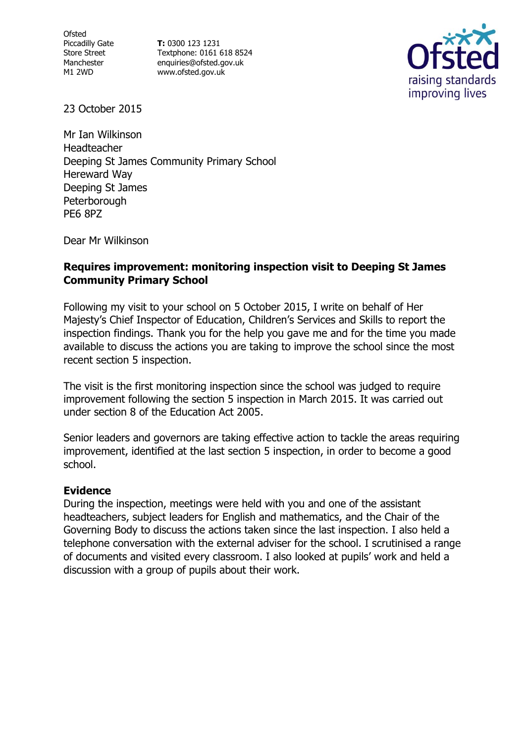**Ofsted** Piccadilly Gate Store Street Manchester M1 2WD

**T:** 0300 123 1231 Textphone: 0161 618 8524 enquiries@ofsted.gov.uk www.ofsted.gov.uk



23 October 2015

Mr Ian Wilkinson Headteacher Deeping St James Community Primary School Hereward Way Deeping St James **Peterborough** PE6 8PZ

Dear Mr Wilkinson

### **Requires improvement: monitoring inspection visit to Deeping St James Community Primary School**

Following my visit to your school on 5 October 2015, I write on behalf of Her Majesty's Chief Inspector of Education, Children's Services and Skills to report the inspection findings. Thank you for the help you gave me and for the time you made available to discuss the actions you are taking to improve the school since the most recent section 5 inspection.

The visit is the first monitoring inspection since the school was judged to require improvement following the section 5 inspection in March 2015. It was carried out under section 8 of the Education Act 2005.

Senior leaders and governors are taking effective action to tackle the areas requiring improvement, identified at the last section 5 inspection, in order to become a good school.

### **Evidence**

During the inspection, meetings were held with you and one of the assistant headteachers, subject leaders for English and mathematics, and the Chair of the Governing Body to discuss the actions taken since the last inspection. I also held a telephone conversation with the external adviser for the school. I scrutinised a range of documents and visited every classroom. I also looked at pupils' work and held a discussion with a group of pupils about their work.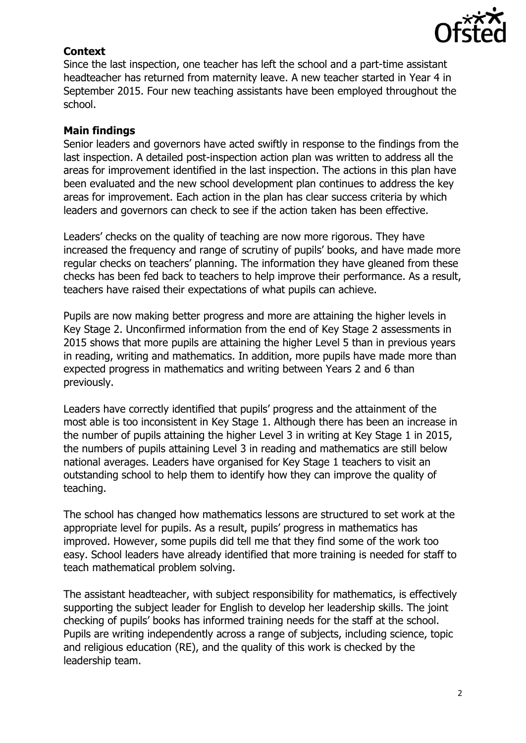

# **Context**

Since the last inspection, one teacher has left the school and a part-time assistant headteacher has returned from maternity leave. A new teacher started in Year 4 in September 2015. Four new teaching assistants have been employed throughout the school.

# **Main findings**

Senior leaders and governors have acted swiftly in response to the findings from the last inspection. A detailed post-inspection action plan was written to address all the areas for improvement identified in the last inspection. The actions in this plan have been evaluated and the new school development plan continues to address the key areas for improvement. Each action in the plan has clear success criteria by which leaders and governors can check to see if the action taken has been effective.

Leaders' checks on the quality of teaching are now more rigorous. They have increased the frequency and range of scrutiny of pupils' books, and have made more regular checks on teachers' planning. The information they have gleaned from these checks has been fed back to teachers to help improve their performance. As a result, teachers have raised their expectations of what pupils can achieve.

Pupils are now making better progress and more are attaining the higher levels in Key Stage 2. Unconfirmed information from the end of Key Stage 2 assessments in 2015 shows that more pupils are attaining the higher Level 5 than in previous years in reading, writing and mathematics. In addition, more pupils have made more than expected progress in mathematics and writing between Years 2 and 6 than previously.

Leaders have correctly identified that pupils' progress and the attainment of the most able is too inconsistent in Key Stage 1. Although there has been an increase in the number of pupils attaining the higher Level 3 in writing at Key Stage 1 in 2015, the numbers of pupils attaining Level 3 in reading and mathematics are still below national averages. Leaders have organised for Key Stage 1 teachers to visit an outstanding school to help them to identify how they can improve the quality of teaching.

The school has changed how mathematics lessons are structured to set work at the appropriate level for pupils. As a result, pupils' progress in mathematics has improved. However, some pupils did tell me that they find some of the work too easy. School leaders have already identified that more training is needed for staff to teach mathematical problem solving.

The assistant headteacher, with subject responsibility for mathematics, is effectively supporting the subject leader for English to develop her leadership skills. The joint checking of pupils' books has informed training needs for the staff at the school. Pupils are writing independently across a range of subjects, including science, topic and religious education (RE), and the quality of this work is checked by the leadership team.